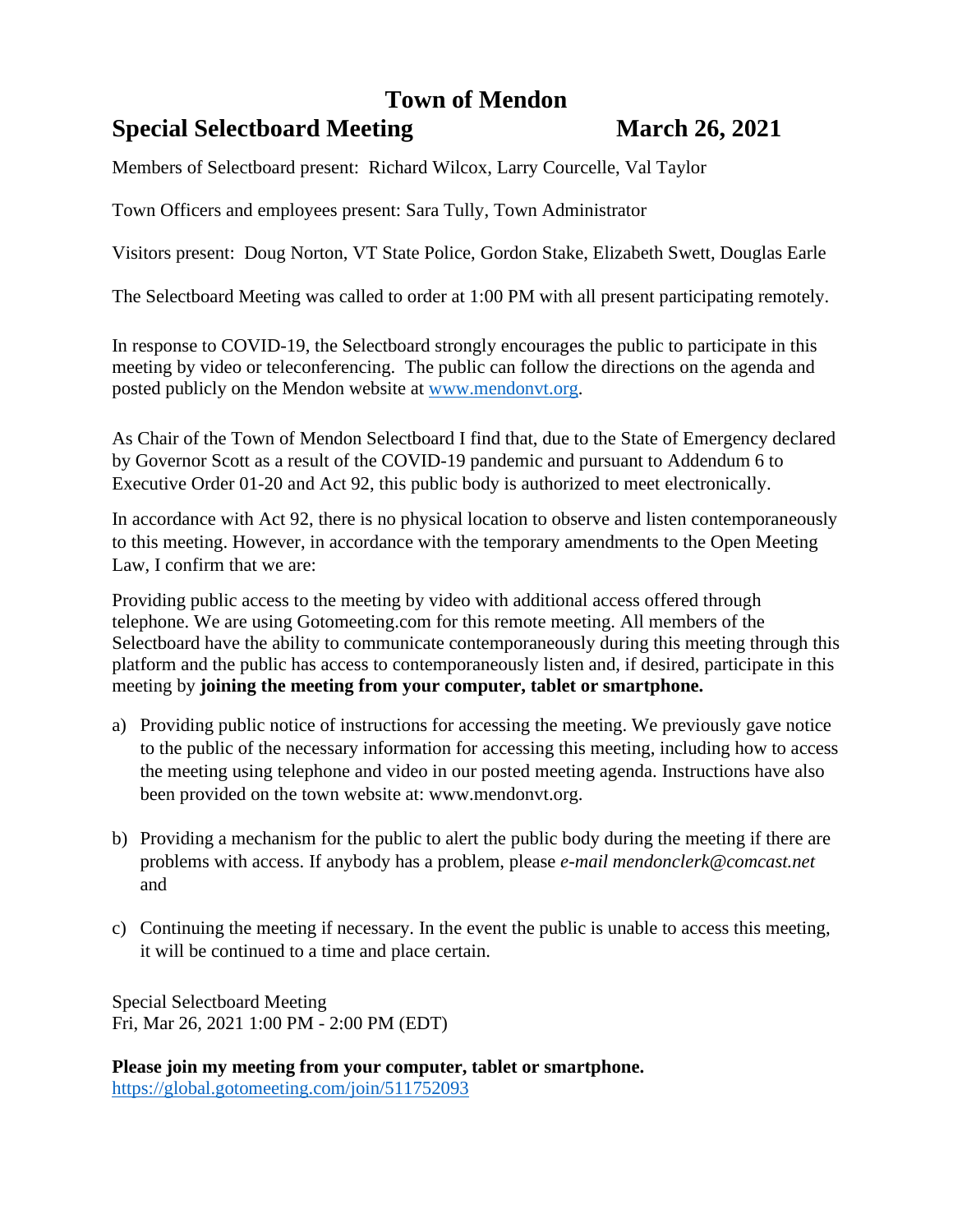## **Town of Mendon**

# **Special Selectboard Meeting March 26, 2021**

Members of Selectboard present: Richard Wilcox, Larry Courcelle, Val Taylor

Town Officers and employees present: Sara Tully, Town Administrator

Visitors present: Doug Norton, VT State Police, Gordon Stake, Elizabeth Swett, Douglas Earle

The Selectboard Meeting was called to order at 1:00 PM with all present participating remotely.

In response to COVID-19, the Selectboard strongly encourages the public to participate in this meeting by video or teleconferencing. The public can follow the directions on the agenda and posted publicly on the Mendon website at [www.mendonvt.org.](http://www.mendonvt.org/)

As Chair of the Town of Mendon Selectboard I find that, due to the State of Emergency declared by Governor Scott as a result of the COVID-19 pandemic and pursuant to Addendum 6 to Executive Order 01-20 and Act 92, this public body is authorized to meet electronically.

In accordance with Act 92, there is no physical location to observe and listen contemporaneously to this meeting. However, in accordance with the temporary amendments to the Open Meeting Law, I confirm that we are:

Providing public access to the meeting by video with additional access offered through telephone. We are using Gotomeeting.com for this remote meeting. All members of the Selectboard have the ability to communicate contemporaneously during this meeting through this platform and the public has access to contemporaneously listen and, if desired, participate in this meeting by **joining the meeting from your computer, tablet or smartphone.** 

- a) Providing public notice of instructions for accessing the meeting. We previously gave notice to the public of the necessary information for accessing this meeting, including how to access the meeting using telephone and video in our posted meeting agenda. Instructions have also been provided on the town website at: www.mendonvt.org.
- b) Providing a mechanism for the public to alert the public body during the meeting if there are problems with access. If anybody has a problem, please *e-mail mendonclerk@comcast.net* and
- c) Continuing the meeting if necessary. In the event the public is unable to access this meeting, it will be continued to a time and place certain.

Special Selectboard Meeting Fri, Mar 26, 2021 1:00 PM - 2:00 PM (EDT)

**Please join my meeting from your computer, tablet or smartphone.**  <https://global.gotomeeting.com/join/511752093>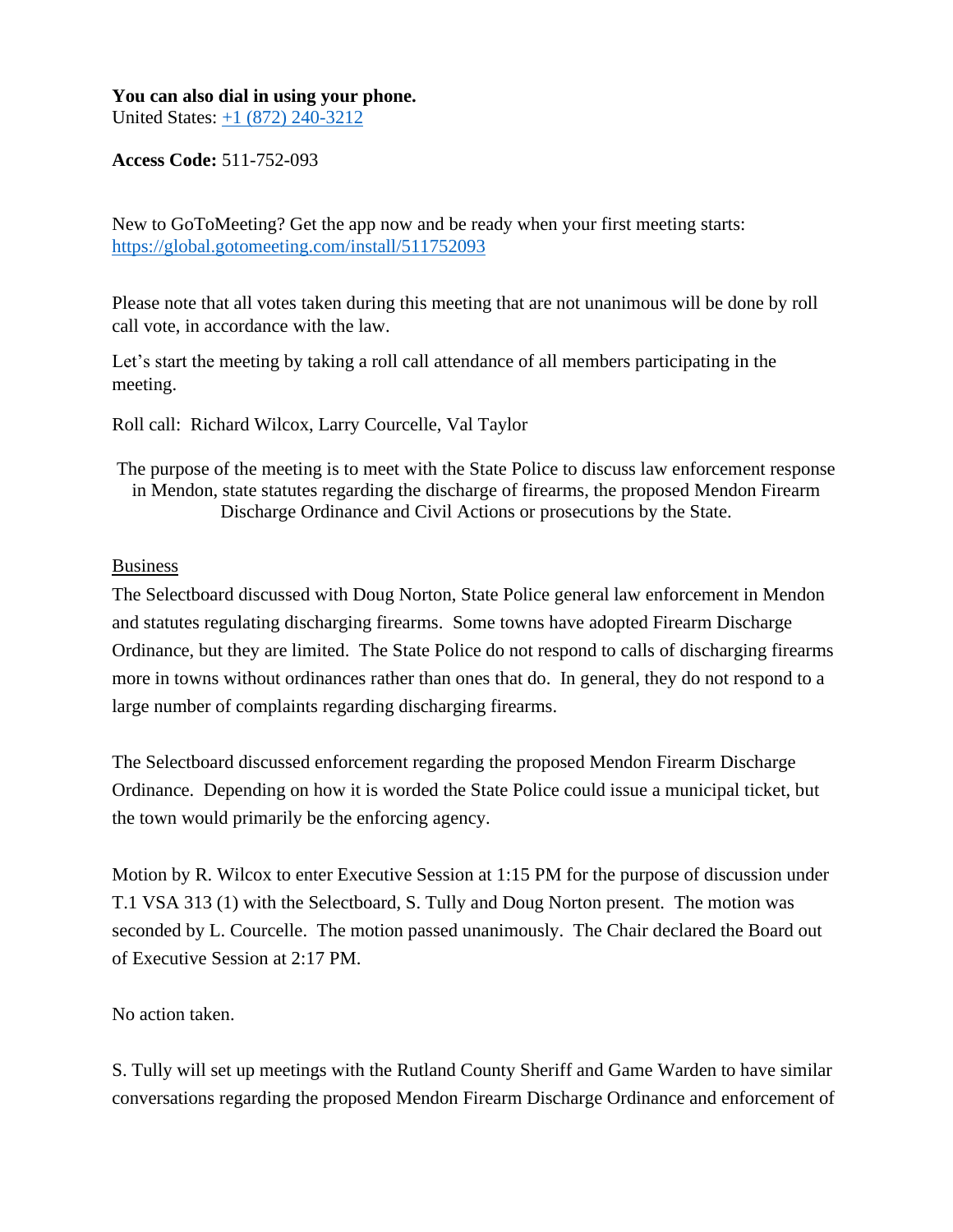#### **You can also dial in using your phone.**

United States: [+1 \(872\) 240-3212](tel:+18722403212,,511752093)

**Access Code:** 511-752-093

New to GoToMeeting? Get the app now and be ready when your first meeting starts: <https://global.gotomeeting.com/install/511752093>

Please note that all votes taken during this meeting that are not unanimous will be done by roll call vote, in accordance with the law.

Let's start the meeting by taking a roll call attendance of all members participating in the meeting.

Roll call: Richard Wilcox, Larry Courcelle, Val Taylor

The purpose of the meeting is to meet with the State Police to discuss law enforcement response in Mendon, state statutes regarding the discharge of firearms, the proposed Mendon Firearm Discharge Ordinance and Civil Actions or prosecutions by the State.

### Business

The Selectboard discussed with Doug Norton, State Police general law enforcement in Mendon and statutes regulating discharging firearms. Some towns have adopted Firearm Discharge Ordinance, but they are limited. The State Police do not respond to calls of discharging firearms more in towns without ordinances rather than ones that do. In general, they do not respond to a large number of complaints regarding discharging firearms.

The Selectboard discussed enforcement regarding the proposed Mendon Firearm Discharge Ordinance. Depending on how it is worded the State Police could issue a municipal ticket, but the town would primarily be the enforcing agency.

Motion by R. Wilcox to enter Executive Session at 1:15 PM for the purpose of discussion under T.1 VSA 313 (1) with the Selectboard, S. Tully and Doug Norton present. The motion was seconded by L. Courcelle. The motion passed unanimously. The Chair declared the Board out of Executive Session at 2:17 PM.

## No action taken.

S. Tully will set up meetings with the Rutland County Sheriff and Game Warden to have similar conversations regarding the proposed Mendon Firearm Discharge Ordinance and enforcement of